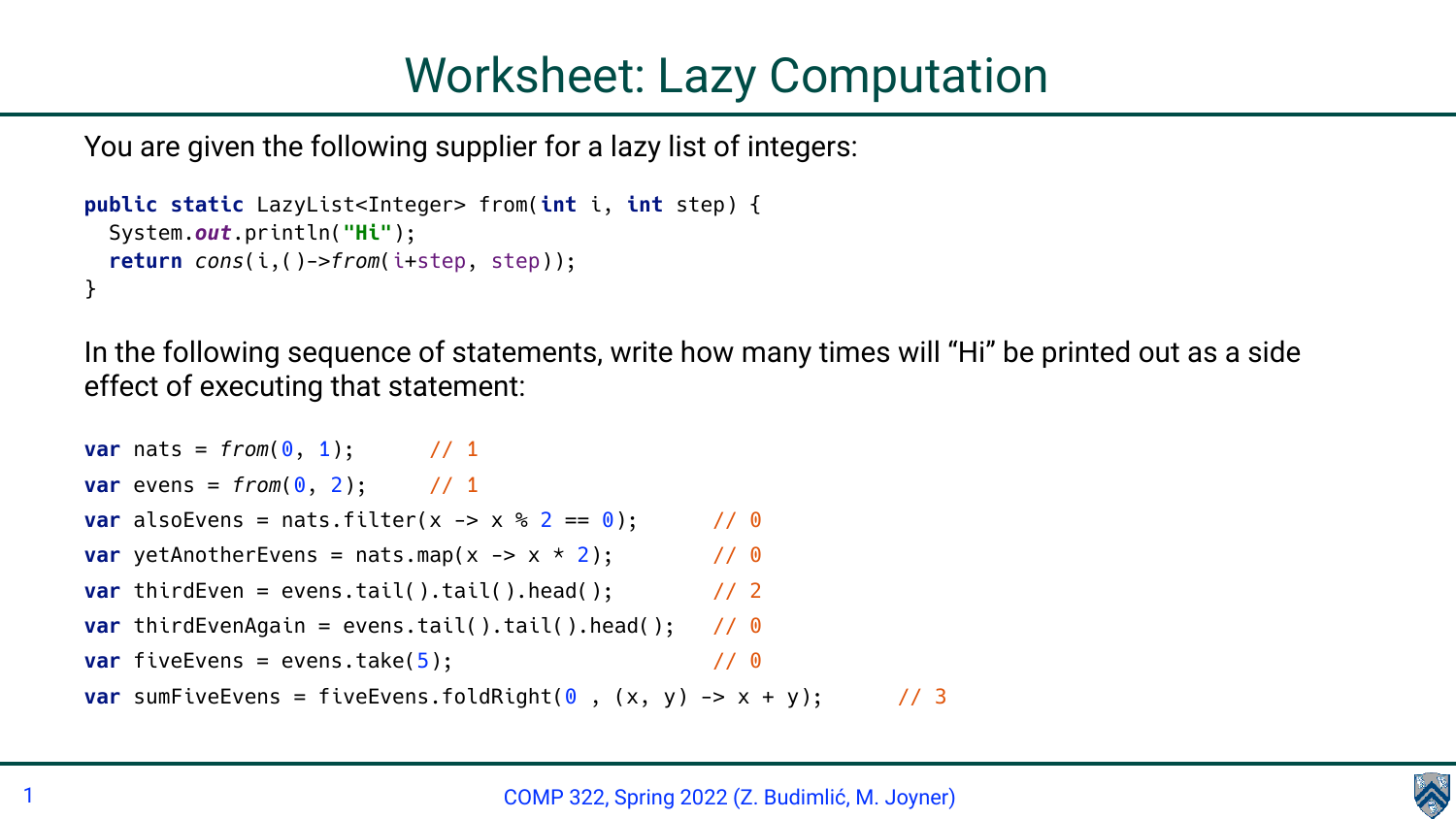You are given the following supplier for a lazy list of integers:

```
public static LazyList<Integer> from(int i, int step) {
   System.out.println("Hi");
   return cons(i,()->from(i+step, step));
}
```

```
var nats = from(0, 1); // 1
var evens = from (0, 2); // 1
var alsoEvens = nats.filter(x \rightarrow x % 2 == 0); // 0
var yetAnotherEvens = nats.map(x \rightarrow x * 2); // 0
var thirdEven = evens.tail().tail().head(); \frac{1}{2}var thirdEvenAgain = evens.tail().tail().head(); // 0
var fiveEvents = evens.take(5); // 0
var sumFiveEvens = fiveEvens.foldRight(\theta, (x, y) -> x + y); // 3
```
In the following sequence of statements, write how many times will "Hi" be printed out as a side effect of executing that statement:

## COMP 322, Spring 2022 (Z. Budimlić, M. Joyner)



## Worksheet: Lazy Computation